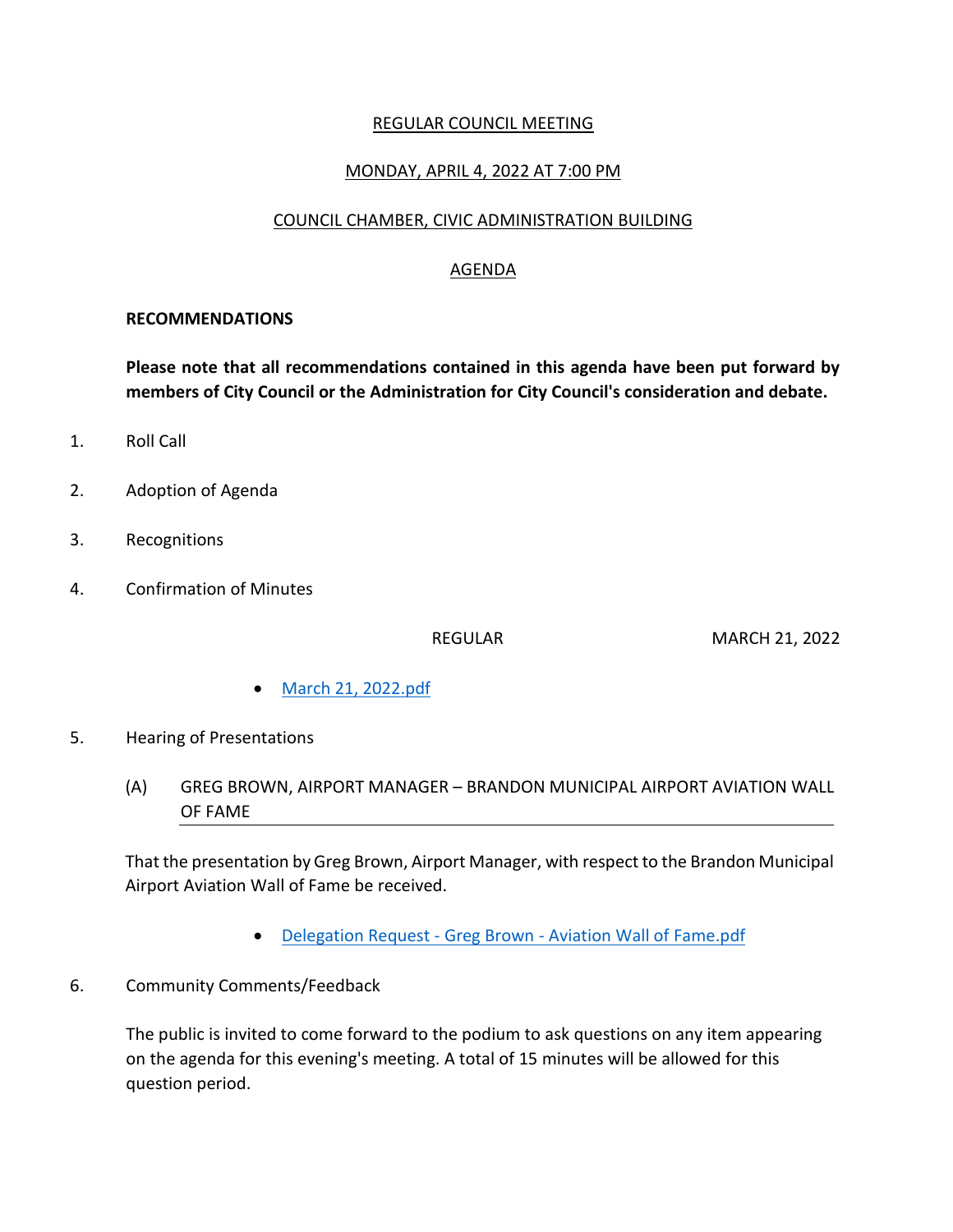### REGULAR COUNCIL MEETING

## MONDAY, APRIL 4, 2022 AT 7:00 PM

#### COUNCIL CHAMBER, CIVIC ADMINISTRATION BUILDING

## AGENDA

#### **RECOMMENDATIONS**

**Please note that all recommendations contained in this agenda have been put forward by members of City Council or the Administration for City Council's consideration and debate.**

- 1. Roll Call
- 2. Adoption of Agenda
- 3. Recognitions
- 4. Confirmation of Minutes

REGULAR MARCH 21, 2022

- [March 21, 2022.pdf](https://paperlesscouncil.brandon.ca/attachments/A_2022/COM_KGAJUPYRWNIRLLQOENUFCYOMPLJEDTYXKADMZNGJOPBVOEBTGPD_March%2021,%202022.pdf)
- 5. Hearing of Presentations
	- (A) GREG BROWN, AIRPORT MANAGER BRANDON MUNICIPAL AIRPORT AVIATION WALL OF FAME

That the presentation by Greg Brown, Airport Manager, with respect to the Brandon Municipal Airport Aviation Wall of Fame be received.

- Delegation Request Greg Brown [Aviation Wall of Fame.pdf](https://paperlesscouncil.brandon.ca/attachments/A_2022/HOP_ADFDFVDUJLTOOXKUKEWZILMBKSONIEJPWXLQQOFFWKRDUOBCQZW_Delegation%20Request%20-%20Greg%20Brown%20-%20Aviation%20Wall%20of%20Fame.pdf)
- 6. Community Comments/Feedback

The public is invited to come forward to the podium to ask questions on any item appearing on the agenda for this evening's meeting. A total of 15 minutes will be allowed for this question period.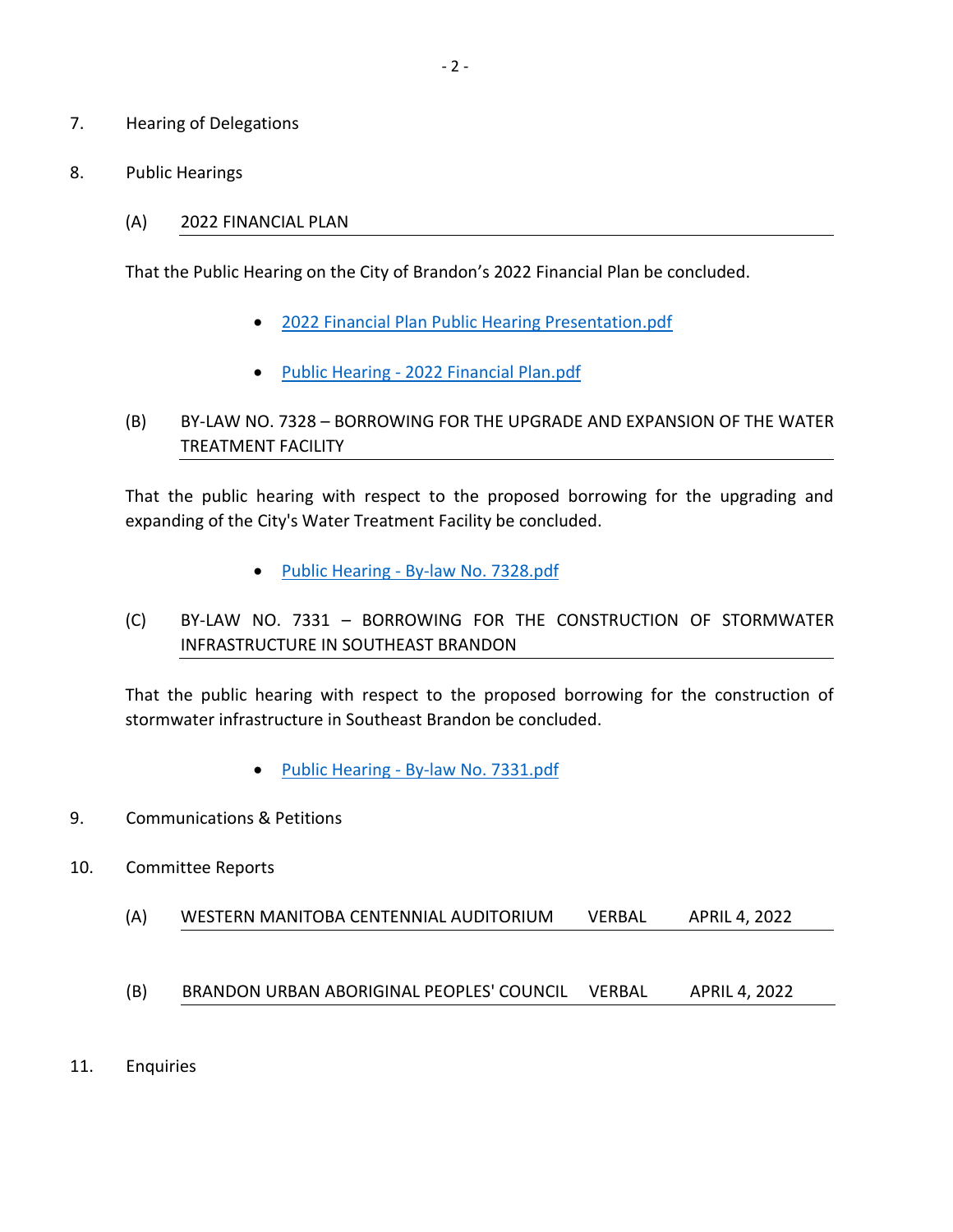- 7. Hearing of Delegations
- 8. Public Hearings
	- (A) 2022 FINANCIAL PLAN

That the Public Hearing on the City of Brandon's 2022 Financial Plan be concluded.

- [2022 Financial Plan Public Hearing Presentation.pdf](https://paperlesscouncil.brandon.ca/attachments/A_2022/PUB_QTZQKMNHDYZMAMLRSAONCGWEZNYZNPTORJVAQOZOWXXWHPEVMUV_2022%20Financial%20Plan%20Public%20Hearing%20Presentation.pdf)
- Public Hearing [2022 Financial Plan.pdf](https://paperlesscouncil.brandon.ca/attachments/A_2022/PUB_PSEWXCSEOOGQQJKWCGKZWGWVJGDDYFIKNEVUWYJKSAXUTGVBZAJ_Public%20Hearing%20-%202022%20Financial%20Plan.pdf)
- (B) BY-LAW NO. 7328 BORROWING FOR THE UPGRADE AND EXPANSION OF THE WATER TREATMENT FACILITY

That the public hearing with respect to the proposed borrowing for the upgrading and expanding of the City's Water Treatment Facility be concluded.

- Public Hearing [By-law No. 7328.pdf](https://paperlesscouncil.brandon.ca/attachments/A_2022/PUB_MAVCKTWFZRIJMVACODMKINQQUGKQZIOGDBJDVSVODEYUXHLWEJY_Public%20Hearing%20-%20By-law%20No.%207328.pdf)
- (C) BY-LAW NO. 7331 BORROWING FOR THE CONSTRUCTION OF STORMWATER INFRASTRUCTURE IN SOUTHEAST BRANDON

That the public hearing with respect to the proposed borrowing for the construction of stormwater infrastructure in Southeast Brandon be concluded.

- Public Hearing [By-law No. 7331.pdf](https://paperlesscouncil.brandon.ca/attachments/A_2022/PUB_KMPUXFGSBDPXAXMXFUDEWDYCSOVYLFSMBOEWGABPSXZOUCKJNQY_Public%20Hearing%20-%20By-law%20No.%207331.pdf)
- 9. Communications & Petitions
- 10. Committee Reports
	- (A) WESTERN MANITOBA CENTENNIAL AUDITORIUM VERBAL APRIL 4, 2022
	- (B) BRANDON URBAN ABORIGINAL PEOPLES' COUNCIL VERBAL APRIL 4, 2022
- 11. Enquiries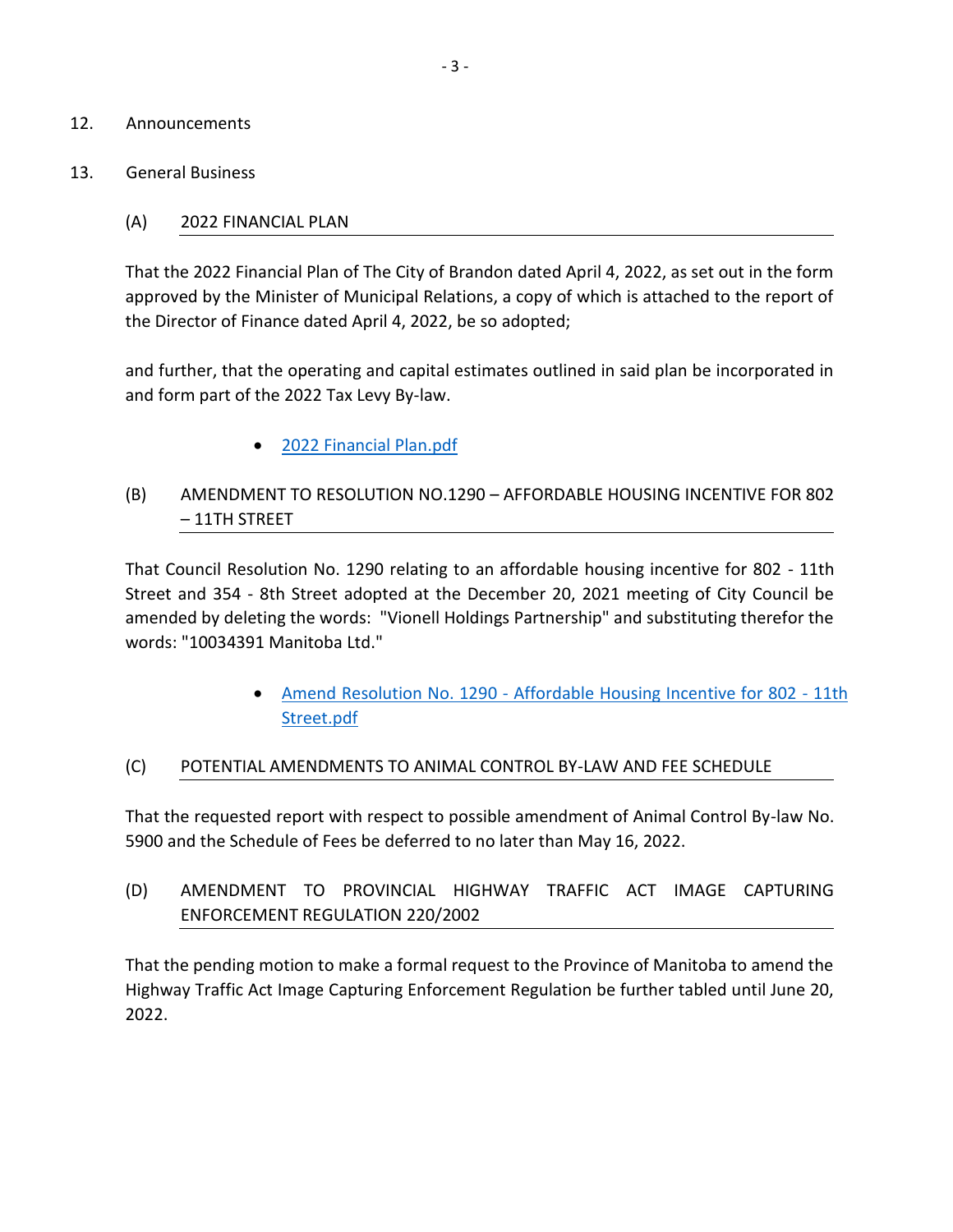- 12. Announcements
- 13. General Business

#### (A) 2022 FINANCIAL PLAN

That the 2022 Financial Plan of The City of Brandon dated April 4, 2022, as set out in the form approved by the Minister of Municipal Relations, a copy of which is attached to the report of the Director of Finance dated April 4, 2022, be so adopted;

and further, that the operating and capital estimates outlined in said plan be incorporated in and form part of the 2022 Tax Levy By-law.

[2022 Financial Plan.pdf](https://paperlesscouncil.brandon.ca/attachments/A_2022/GEN_CVHKBOKGITUPNKEVZYGCGWMTOBQUCODLIQBNDTOUSRXEMFXYMRS_2022%20Financial%20Plan.pdf)

## (B) AMENDMENT TO RESOLUTION NO.1290 – AFFORDABLE HOUSING INCENTIVE FOR 802 – 11TH STREET

That Council Resolution No. 1290 relating to an affordable housing incentive for 802 - 11th Street and 354 - 8th Street adopted at the December 20, 2021 meeting of City Council be amended by deleting the words: "Vionell Holdings Partnership" and substituting therefor the words: "10034391 Manitoba Ltd."

> Amend Resolution No. 1290 - [Affordable Housing Incentive for 802 -](https://paperlesscouncil.brandon.ca/attachments/A_2022/GEN_AQQEGVMHDGMFOWPTYCQRHHXWDZZJSQPZCFSPUASTMDAWVDEKMPG_Amend%20Resolution%20No.%201290%20-%20Affordable%20Housing%20Incentive%20for%20802%20-%2011th%20Street.pdf) 11th [Street.pdf](https://paperlesscouncil.brandon.ca/attachments/A_2022/GEN_AQQEGVMHDGMFOWPTYCQRHHXWDZZJSQPZCFSPUASTMDAWVDEKMPG_Amend%20Resolution%20No.%201290%20-%20Affordable%20Housing%20Incentive%20for%20802%20-%2011th%20Street.pdf)

#### (C) POTENTIAL AMENDMENTS TO ANIMAL CONTROL BY-LAW AND FEE SCHEDULE

That the requested report with respect to possible amendment of Animal Control By-law No. 5900 and the Schedule of Fees be deferred to no later than May 16, 2022.

(D) AMENDMENT TO PROVINCIAL HIGHWAY TRAFFIC ACT IMAGE CAPTURING ENFORCEMENT REGULATION 220/2002

That the pending motion to make a formal request to the Province of Manitoba to amend the Highway Traffic Act Image Capturing Enforcement Regulation be further tabled until June 20, 2022.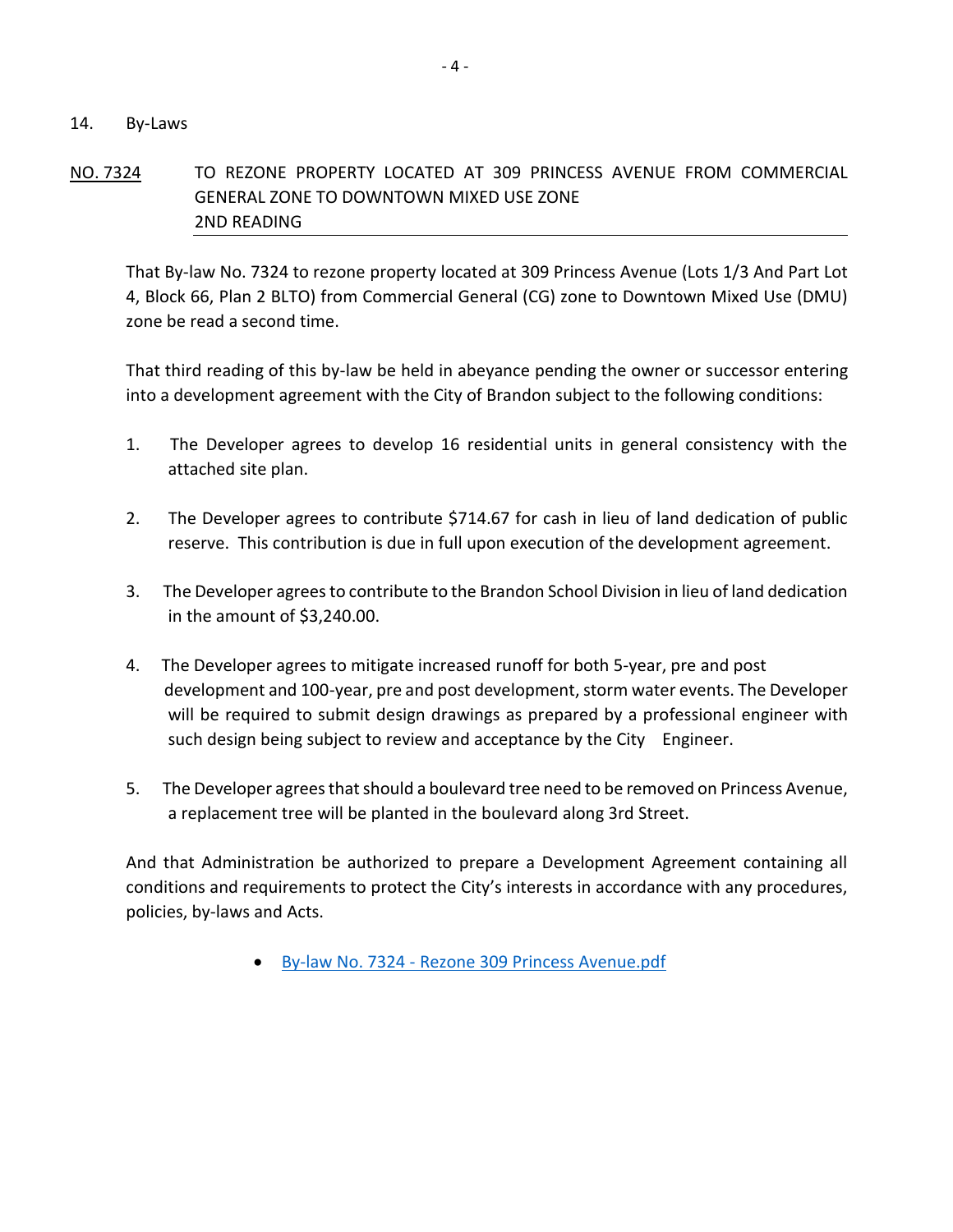#### 14. By-Laws

## NO. 7324 TO REZONE PROPERTY LOCATED AT 309 PRINCESS AVENUE FROM COMMERCIAL GENERAL ZONE TO DOWNTOWN MIXED USE ZONE 2ND READING

That By-law No. 7324 to rezone property located at 309 Princess Avenue (Lots 1/3 And Part Lot 4, Block 66, Plan 2 BLTO) from Commercial General (CG) zone to Downtown Mixed Use (DMU) zone be read a second time.

That third reading of this by-law be held in abeyance pending the owner or successor entering into a development agreement with the City of Brandon subject to the following conditions:

- 1. The Developer agrees to develop 16 residential units in general consistency with the attached site plan.
- 2. The Developer agrees to contribute \$714.67 for cash in lieu of land dedication of public reserve. This contribution is due in full upon execution of the development agreement.
- 3. The Developer agrees to contribute to the Brandon School Division in lieu of land dedication in the amount of \$3,240.00.
- 4. The Developer agrees to mitigate increased runoff for both 5-year, pre and post development and 100-year, pre and post development, storm water events. The Developer will be required to submit design drawings as prepared by a professional engineer with such design being subject to review and acceptance by the City Engineer.
- 5. The Developer agrees that should a boulevard tree need to be removed on Princess Avenue, a replacement tree will be planted in the boulevard along 3rd Street.

And that Administration be authorized to prepare a Development Agreement containing all conditions and requirements to protect the City's interests in accordance with any procedures, policies, by-laws and Acts.

By-law No. 7324 - [Rezone 309 Princess Avenue.pdf](https://paperlesscouncil.brandon.ca/attachments/A_2022/BYL_XZJUESIPHSHZFRUKCOTXLCGXKBDVWGPLIBGJOCPUVXJQBGYZYCZ_By-law%20No.%207324%20-%20Rezone%20309%20Princess%20Avenue.pdf)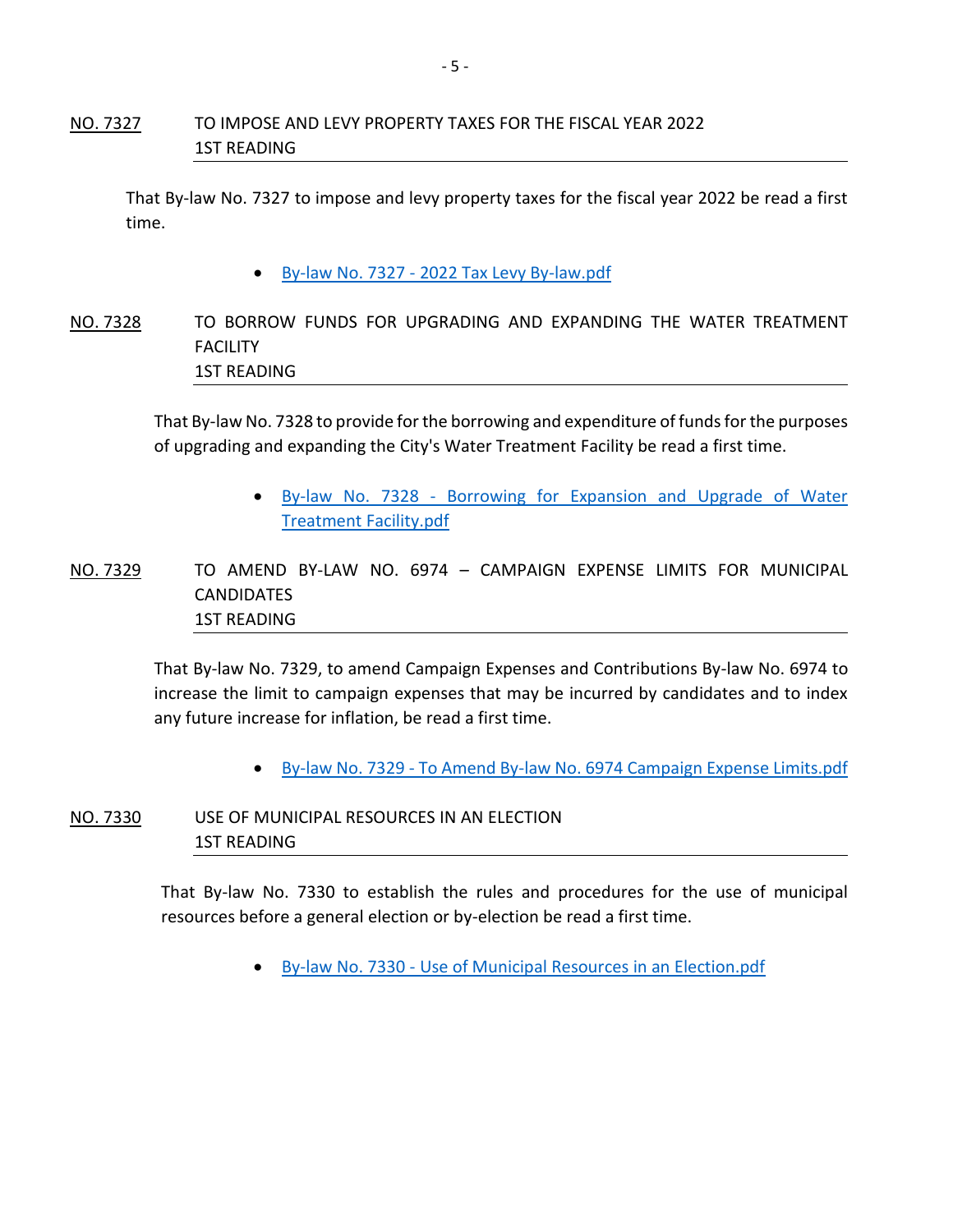## NO. 7327 TO IMPOSE AND LEVY PROPERTY TAXES FOR THE FISCAL YEAR 2022 1ST READING

That By-law No. 7327 to impose and levy property taxes for the fiscal year 2022 be read a first time.

- By-law No. 7327 [2022 Tax Levy By-law.pdf](https://paperlesscouncil.brandon.ca/attachments/A_2022/BYL_KUQGZAGNKUKJXKKYMHNDXKVTHPHIDNRRTUUJRZFRVGGQXVJXFYQ_By-law%20No.%207327%20-%202022%20Tax%20Levy%20By-law.pdf)
- NO. 7328 TO BORROW FUNDS FOR UPGRADING AND EXPANDING THE WATER TREATMENT FACILITY 1ST READING

That By-law No. 7328 to provide for the borrowing and expenditure of funds for the purposes of upgrading and expanding the City's Water Treatment Facility be read a first time.

> By-law No. 7328 - [Borrowing for Expansion and Upgrade of Water](https://paperlesscouncil.brandon.ca/attachments/A_2022/BYL_WYVYOMOJJEDSMQXRELXXUKUEZLZXDLGHQCDCSFAGOSOITHJEWBC_By-law%20No.%207328%20-%20Borrowing%20for%20Expansion%20and%20Upgrade%20of%20Water%20Treatment%20Facility.pdf)  [Treatment Facility.pdf](https://paperlesscouncil.brandon.ca/attachments/A_2022/BYL_WYVYOMOJJEDSMQXRELXXUKUEZLZXDLGHQCDCSFAGOSOITHJEWBC_By-law%20No.%207328%20-%20Borrowing%20for%20Expansion%20and%20Upgrade%20of%20Water%20Treatment%20Facility.pdf)

NO. 7329 TO AMEND BY-LAW NO. 6974 – CAMPAIGN EXPENSE LIMITS FOR MUNICIPAL **CANDIDATES** 1ST READING

> That By-law No. 7329, to amend Campaign Expenses and Contributions By-law No. 6974 to increase the limit to campaign expenses that may be incurred by candidates and to index any future increase for inflation, be read a first time.

> > • By-law No. 7329 - [To Amend By-law No. 6974 Campaign Expense Limits.pdf](https://paperlesscouncil.brandon.ca/attachments/A_2022/BYL_MVYZTGQJEUFIQHDJCOQDCHZGNYZUGPOQKAEUHRGYMCUYVELCRRQ_By-law%20No.%207329%20-%20To%20Amend%20By-law%20No.%206974%20Campaign%20Expense%20Limits.pdf)

NO. 7330 USE OF MUNICIPAL RESOURCES IN AN ELECTION 1ST READING

> That By-law No. 7330 to establish the rules and procedures for the use of municipal resources before a general election or by-election be read a first time.

> > By-law No. 7330 - [Use of Municipal Resources in an Election.pdf](https://paperlesscouncil.brandon.ca/attachments/A_2022/BYL_CFDUUNKBXWGTISAUHFHGSZBPYLDIKDPLJMZQNONPXZZWEEMJCKM_By-law%20No.%207330%20-%20Use%20of%20Municipal%20Resources%20in%20an%20Election.pdf)